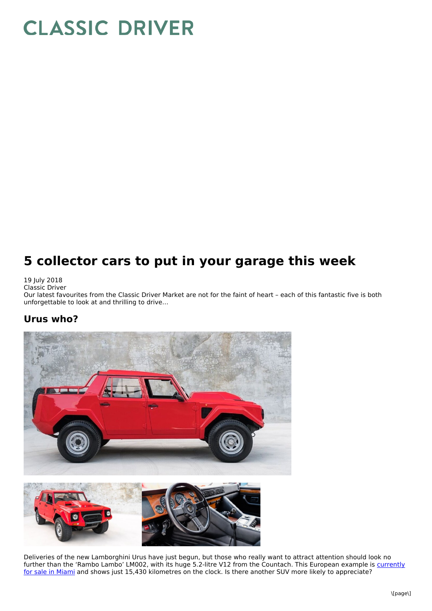# **CLASSIC DRIVER**

# **5 collector cars to put in your garage this week**

#### 19 July 2018

Classic Driver

Our latest favourites from the Classic Driver Market are not for the faint of heart – each of this fantastic five is both unforgettable to look at and thrilling to drive…

#### **Urus who?**



Deliveries of the new Lamborghini Urus have just begun, but those who really want to attract attention should look no further than the 'Rambo Lambo' LM002, with its huge 5.2-litre V12 from the Countach. This European example is currently for sale in Miami and shows just 15,430 kilometres on the clock. Is there another SUV more likely to [appreciate?](http://www.classicdriver.com/en/car/lamborghini/lm-002/1989/547096)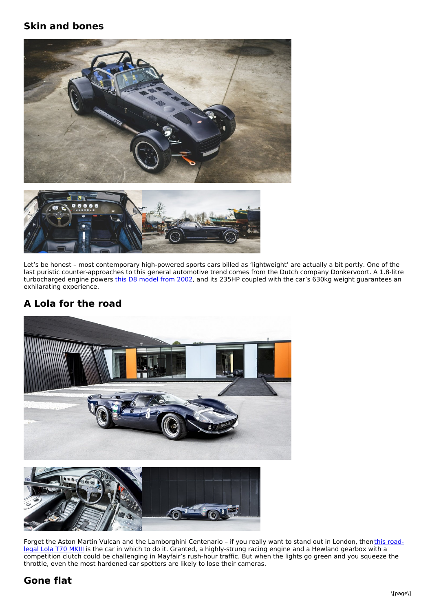#### **Skin and bones**





Let's be honest – most contemporary high-powered sports cars billed as 'lightweight' are actually a bit portly. One of the last puristic counter-approaches to this general automotive trend comes from the Dutch company Donkervoort. A 1.8-litre turbocharged engine powers this D8 [model](http://www.classicdriver.com/en/car/donkervoort/d8/2002/546787) from 2002, and its 235HP coupled with the car's 630kg weight guarantees an exhilarating experience.

### **A Lola for the road**



Forget the Aston Martin Vulcan and the Lamborghini Centenario - if you really want to stand out in London, thenthis roadlegal Lola T70 MKIII is the car in which to do it. Granted, a [highly-strung](http://www.classicdriver.com/en/car/lola/t70/1967/547507) racing engine and a Hewland gearbox with a competition clutch could be challenging in Mayfair's rush-hour traffic. But when the lights go green and you squeeze the throttle, even the most hardened car spotters are likely to lose their cameras.

## **Gone flat**